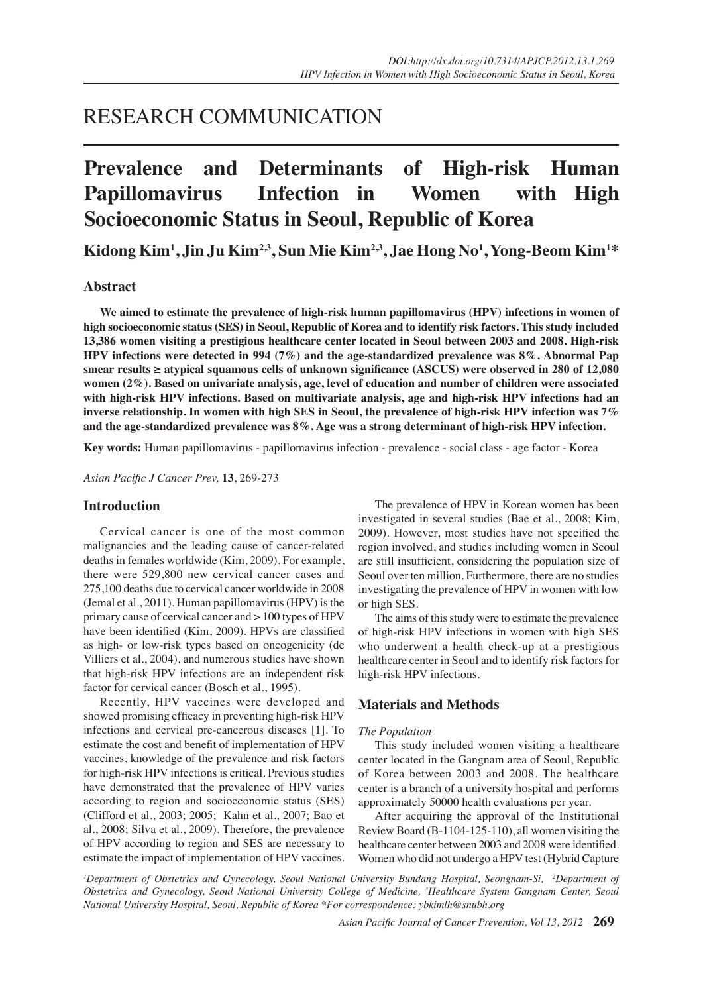# RESEARCH COMMUNICATION

# **Prevalence and Determinants of High-risk Human Papillomavirus Infection in Women with High Socioeconomic Status in Seoul, Republic of Korea**

**Kidong Kim1 , Jin Ju Kim2,3, Sun Mie Kim2,3, Jae Hong No1 , Yong-Beom Kim1 \***

### **Abstract**

**We aimed to estimate the prevalence of high-risk human papillomavirus (HPV) infections in women of high socioeconomic status (SES) in Seoul, Republic of Korea and to identify risk factors. This study included 13,386 women visiting a prestigious healthcare center located in Seoul between 2003 and 2008. High-risk HPV infections were detected in 994 (7%) and the age-standardized prevalence was 8%. Abnormal Pap smear results ≥ atypical squamous cells of unknown significance (ASCUS) were observed in 280 of 12,080 women (2%). Based on univariate analysis, age, level of education and number of children were associated with high-risk HPV infections. Based on multivariate analysis, age and high-risk HPV infections had an inverse relationship. In women with high SES in Seoul, the prevalence of high-risk HPV infection was 7% and the age-standardized prevalence was 8%. Age was a strong determinant of high-risk HPV infection.** 

**Key words:** Human papillomavirus - papillomavirus infection - prevalence - social class - age factor - Korea

*Asian Pacific J Cancer Prev,* **13**, 269-273

#### **Introduction**

Cervical cancer is one of the most common malignancies and the leading cause of cancer-related deaths in females worldwide (Kim, 2009). For example, there were 529,800 new cervical cancer cases and 275,100 deaths due to cervical cancer worldwide in 2008 (Jemal et al., 2011). Human papillomavirus (HPV) is the primary cause of cervical cancer and > 100 types of HPV have been identified (Kim, 2009). HPVs are classified as high- or low-risk types based on oncogenicity (de Villiers et al., 2004), and numerous studies have shown that high-risk HPV infections are an independent risk factor for cervical cancer (Bosch et al., 1995).

Recently, HPV vaccines were developed and showed promising efficacy in preventing high-risk HPV infections and cervical pre-cancerous diseases [1]. To estimate the cost and benefit of implementation of HPV vaccines, knowledge of the prevalence and risk factors for high-risk HPV infections is critical. Previous studies have demonstrated that the prevalence of HPV varies according to region and socioeconomic status (SES) (Clifford et al., 2003; 2005; Kahn et al., 2007; Bao et al., 2008; Silva et al., 2009). Therefore, the prevalence of HPV according to region and SES are necessary to estimate the impact of implementation of HPV vaccines.

The prevalence of HPV in Korean women has been investigated in several studies (Bae et al., 2008; Kim, 2009). However, most studies have not specified the region involved, and studies including women in Seoul are still insufficient, considering the population size of Seoul over ten million. Furthermore, there are no studies investigating the prevalence of HPV in women with low or high SES.

The aims of this study were to estimate the prevalence of high-risk HPV infections in women with high SES who underwent a health check-up at a prestigious healthcare center in Seoul and to identify risk factors for high-risk HPV infections.

#### **Materials and Methods**

#### *The Population*

This study included women visiting a healthcare center located in the Gangnam area of Seoul, Republic of Korea between 2003 and 2008. The healthcare center is a branch of a university hospital and performs approximately 50000 health evaluations per year.

After acquiring the approval of the Institutional Review Board (B-1104-125-110), all women visiting the healthcare center between 2003 and 2008 were identified. Women who did not undergo a HPV test (Hybrid Capture

<sup>*I*</sup> Department of Obstetrics and Gynecology, Seoul National University Bundang Hospital, Seongnam-Si, <sup>2</sup>Department of *Obstetrics and Gynecology, Seoul National University College of Medicine, 3 Healthcare System Gangnam Center, Seoul National University Hospital, Seoul, Republic of Korea \*For correspondence: ybkimlh@snubh.org*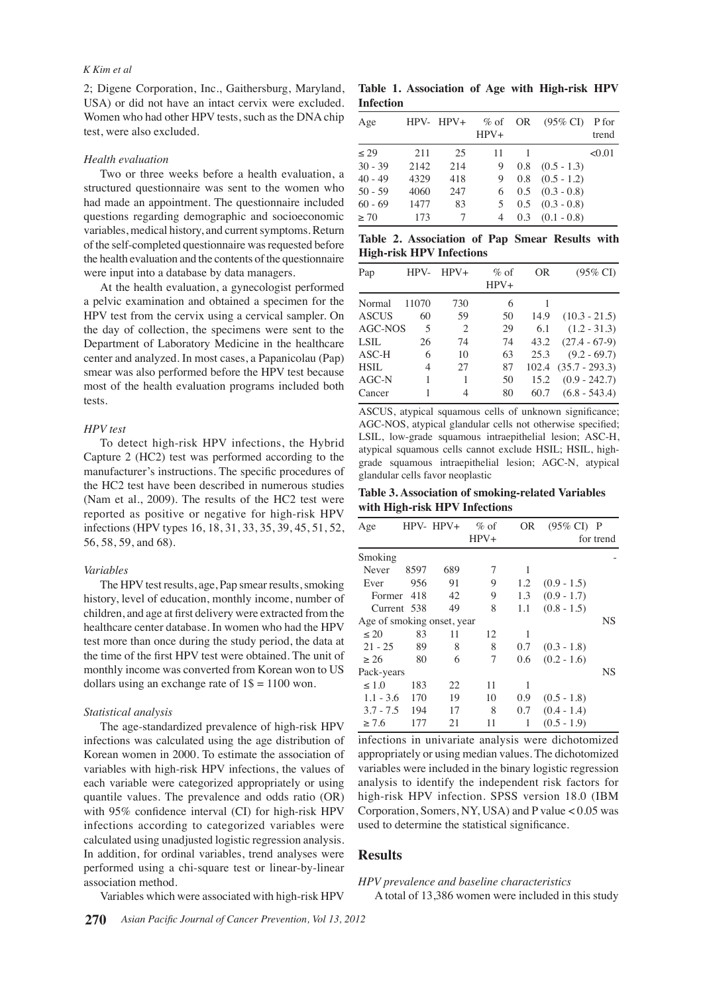#### *K Kim et al*

2; Digene Corporation, Inc., Gaithersburg, Maryland, USA) or did not have an intact cervix were excluded. Women who had other HPV tests, such as the DNA chip test, were also excluded.

#### *Health evaluation*

Two or three weeks before a health evaluation, a structured questionnaire was sent to the women who had made an appointment. The questionnaire included questions regarding demographic and socioeconomic variables, medical history, and current symptoms. Return of the self-completed questionnaire was requested before the health evaluation and the contents of the questionnaire were input into a database by data managers.

At the health evaluation, a gynecologist performed a pelvic examination and obtained a specimen for the HPV test from the cervix using a cervical sampler. On the day of collection, the specimens were sent to the Department of Laboratory Medicine in the healthcare center and analyzed. In most cases, a Papanicolau (Pap) smear was also performed before the HPV test because most of the health evaluation programs included both tests.

#### *HPV test*

To detect high-risk HPV infections, the Hybrid Capture 2 (HC2) test was performed according to the manufacturer's instructions. The specific procedures of the HC2 test have been described in numerous studies (Nam et al., 2009). The results of the HC2 test were reported as positive or negative for high-risk HPV infections (HPV types 16, 18, 31, 33, 35, 39, 45, 51, 52, 56, 58, 59, and 68).

#### *Variables*

The HPV test results, age, Pap smear results, smoking history, level of education, monthly income, number of children, and age at first delivery were extracted from the healthcare center database. In women who had the HPV test more than once during the study period, the data at the time of the first HPV test were obtained. The unit of monthly income was converted from Korean won to US dollars using an exchange rate of  $1\$  = 1100 won.

#### *Statistical analysis*

The age-standardized prevalence of high-risk HPV infections was calculated using the age distribution of Korean women in 2000. To estimate the association of variables with high-risk HPV infections, the values of each variable were categorized appropriately or using quantile values. The prevalence and odds ratio (OR) with 95% confidence interval (CI) for high-risk HPV infections according to categorized variables were calculated using unadjusted logistic regression analysis. In addition, for ordinal variables, trend analyses were performed using a chi-square test or linear-by-linear association method.

Variables which were associated with high-risk HPV

**Table 1. Association of Age with High-risk HPV Infection**

| Age       |      | $HPV - HPV +$ | $\%$ of<br>$HPV+$ |     | OR $(95\% \text{ CI})$ P for | trend  |
|-----------|------|---------------|-------------------|-----|------------------------------|--------|
| $\leq 29$ | 211  | 25            | 11                |     |                              | < 0.01 |
| $30 - 39$ | 2142 | 214           | 9                 | 0.8 | $(0.5 - 1.3)$                |        |
| $40 - 49$ | 4329 | 418           | 9                 |     | $0.8$ $(0.5 - 1.2)$          |        |
| $50 - 59$ | 4060 | 247           | 6                 |     | $0.5$ $(0.3 - 0.8)$          |        |
| $60 - 69$ | 1477 | 83            | 5                 |     | $0.5$ $(0.3 - 0.8)$          |        |
| $\geq 70$ | 173  |               | 4                 |     | $0.3$ $(0.1 - 0.8)$          |        |

**Table 2. Association of Pap Smear Results with High-risk HPV Infections**

| Pap          | HPV-  | $HPV+$                      | $%$ of<br>$HPV+$ | OR    | $(95\% \text{ CI})$ |
|--------------|-------|-----------------------------|------------------|-------|---------------------|
| Normal       | 11070 | 730                         | 6                |       |                     |
| <b>ASCUS</b> | 60    | 59                          | 50               | 14.9  | $(10.3 - 21.5)$     |
| AGC-NOS      | 5     | $\mathcal{D}_{\mathcal{L}}$ | 29               | 6.1   | $(1.2 - 31.3)$      |
| <b>LSIL</b>  | 26    | 74                          | 74               | 43.2  | $(27.4 - 67-9)$     |
| $ASC-H$      | 6     | 10                          | 63               | 25.3  | $(9.2 - 69.7)$      |
| <b>HSIL</b>  | 4     | 27                          | 87               | 102.4 | $(35.7 - 293.3)$    |
| $AGC-N$      | 1     | 1                           | 50               | 15.2  | $(0.9 - 242.7)$     |
| Cancer       |       | 4                           | 80               | 60.7  | $(6.8 - 543.4)$     |

ASCUS, atypical squamous cells of unknown significance; AGC-NOS, atypical glandular cells not otherwise specified; LSIL, low-grade squamous intraepithelial lesion; ASC-H, atypical squamous cells cannot exclude HSIL; HSIL, highgrade squamous intraepithelial lesion; AGC-N, atypical glandular cells favor neoplastic

**Table 3. Association of smoking-related Variables with High-risk HPV Infections**

| Age                        |      | $HPV - HPV +$ | $\%$ of | OR  | $(95\% \text{ CI})$ P |           |
|----------------------------|------|---------------|---------|-----|-----------------------|-----------|
|                            |      |               | $HPV+$  |     |                       | for trend |
| Smoking                    |      |               |         |     |                       |           |
| Never                      | 8597 | 689           | 7       | 1   |                       |           |
| Ever                       | 956  | 91            | 9       | 1.2 | $(0.9 - 1.5)$         |           |
| Former                     | 418  | 42            | 9       | 1.3 | $(0.9 - 1.7)$         |           |
| Current 538                |      | 49            | 8       | 1.1 | $(0.8 - 1.5)$         |           |
| Age of smoking onset, year |      |               |         |     |                       | <b>NS</b> |
| $\leq 20$                  | 83   | 11            | 12      | 1   |                       |           |
| $21 - 25$                  | 89   | 8             | 8       | 0.7 | $(0.3 - 1.8)$         |           |
| > 26                       | 80   | 6             | 7       | 0.6 | $(0.2 - 1.6)$         |           |
| Pack-years                 |      |               |         |     |                       | <b>NS</b> |
| $\leq 1.0$                 | 183  | 22            | 11      | 1   |                       |           |
| $1.1 - 3.6$                | 170  | 19            | 10      | 0.9 | $(0.5 - 1.8)$         |           |
| $3.7 - 7.5$                | 194  | 17            | 8       | 0.7 | $(0.4 - 1.4)$         |           |
| > 7.6                      | 177  | 21            | 11      |     | $(0.5 - 1.9)$         |           |

infections in univariate analysis were dichotomized appropriately or using median values. The dichotomized variables were included in the binary logistic regression analysis to identify the independent risk factors for high-risk HPV infection. SPSS version 18.0 (IBM Corporation, Somers, NY, USA) and P value < 0.05 was used to determine the statistical significance.

## **Results**

#### *HPV prevalence and baseline characteristics*

A total of 13,386 women were included in this study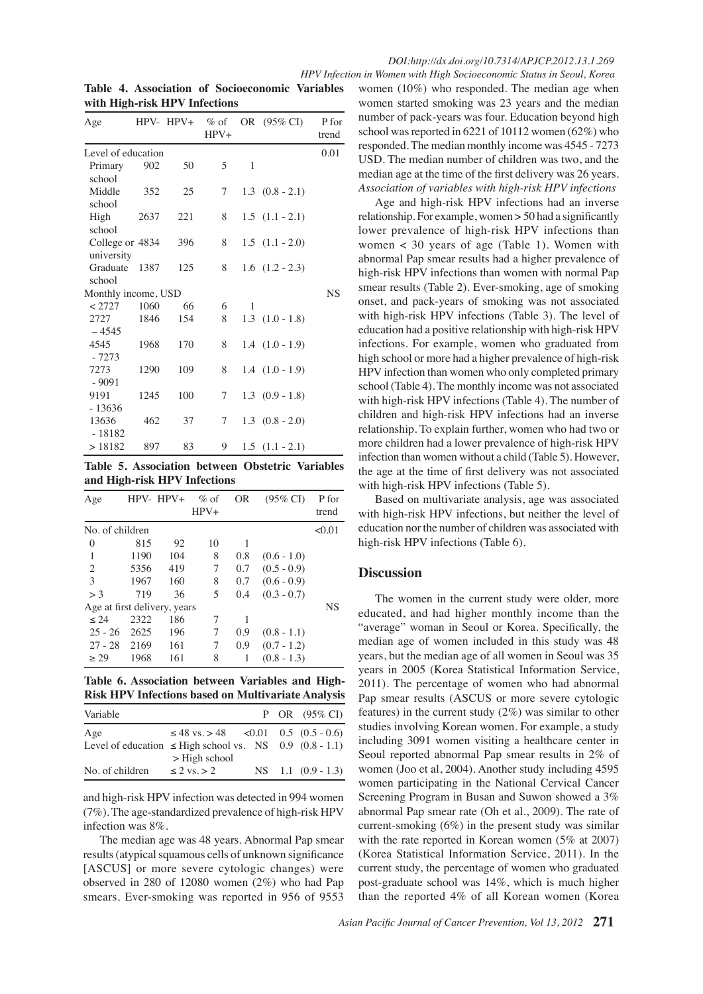*HPV Infection in Women with High Socioeconomic Status in Seoul, Korea*

| Age                           |      | $HPV - HPV +$ | $\%$ of<br>$HPV+$ |   | OR (95% CI)             | P for<br>trend |
|-------------------------------|------|---------------|-------------------|---|-------------------------|----------------|
| Level of education            |      |               |                   |   |                         | 0.01           |
| Primary<br>school             | 902  | 50            | 5                 | 1 |                         |                |
| Middle<br>school              | 352  | 25            | 7                 |   | $1.3$ $(0.8 - 2.1)$     |                |
| High<br>school                | 2637 | 221           | 8                 |   | $1.5$ $(1.1 - 2.1)$     |                |
| College or 4834<br>university |      | 396           | 8                 |   | $1.5$ $(1.1 - 2.0)$     |                |
| Graduate<br>school            | 1387 | 125           | 8                 |   | $1.6$ $(1.2 - 2.3)$     |                |
| Monthly income, USD           |      |               |                   |   |                         | <b>NS</b>      |
| < 2727                        | 1060 | 66            | 6                 | 1 |                         |                |
| 2727<br>$-4545$               | 1846 | 154           | 8                 |   | $1.3$ $(1.0 - 1.8)$     |                |
| 4545<br>$-7273$               | 1968 | 170           | 8                 |   | $1.4$ $(1.0 - 1.9)$     |                |
| 7273<br>$-9091$               | 1290 | 109           | 8                 |   | $1.4$ $(1.0 - 1.9)$     |                |
| 9191<br>$-13636$              | 1245 | 100           | 7                 |   | $1.3 \quad (0.9 - 1.8)$ |                |
| 13636<br>$-18182$             | 462  | 37            | 7                 |   | $1.3$ $(0.8 - 2.0)$     |                |
| >18182                        | 897  | 83            | 9                 |   | $1.5$ $(1.1 - 2.1)$     |                |

**Table 4. Association of Socioeconomic Variables with High-risk HPV Infections**

**Table 5. Association between Obstetric Variables and High-risk HPV Infections**

| Age                          | $HPV-HPV+$ |     | $\%$ of<br>$HPV+$ | 0R  | $(95\% \text{ CI})$ | P for<br>trend |  |
|------------------------------|------------|-----|-------------------|-----|---------------------|----------------|--|
| No. of children              |            |     |                   |     |                     |                |  |
| $\theta$                     | 815        | 92  | 10                | 1   |                     |                |  |
| 1                            | 1190       | 104 | 8                 | 0.8 | $(0.6 - 1.0)$       |                |  |
| $\overline{c}$               | 5356       | 419 | 7                 | 0.7 | $(0.5 - 0.9)$       |                |  |
| 3                            | 1967       | 160 | 8                 | 0.7 | $(0.6 - 0.9)$       |                |  |
| $>$ 3                        | 719        | 36  | 5                 | 0.4 | $(0.3 - 0.7)$       |                |  |
| Age at first delivery, years |            |     |                   |     |                     | <b>NS</b>      |  |
| < 24                         | 2322       | 186 | 7                 | 1   |                     |                |  |
| $25 - 26$                    | 2625       | 196 | 7                 | 0.9 | $(0.8 - 1.1)$       |                |  |
| $27 - 28$                    | 2169       | 161 | 7                 | 0.9 | $(0.7 - 1.2)$       |                |  |
| > 29                         | 1968       | 161 | 8                 | 1   | $(0.8 - 1.3)$       |                |  |

**Table 6. Association between Variables and High-Risk HPV Infections based on Multivariate Analysis** 

| Variable                                                     |                                                |  | P OR $(95\% \text{ CI})$ |
|--------------------------------------------------------------|------------------------------------------------|--|--------------------------|
| Age                                                          | $\leq 48$ vs. > 48 $\leq 0.01$ 0.5 (0.5 - 0.6) |  |                          |
| Level of education $\leq$ High school vs. NS 0.9 (0.8 - 1.1) |                                                |  |                          |
|                                                              | $>$ High school                                |  |                          |
| No. of children                                              | $\leq$ 2 vs. > 2                               |  | $NS$ 1.1 (0.9 - 1.3)     |

and high-risk HPV infection was detected in 994 women (7%). The age-standardized prevalence of high-risk HPV infection was 8%.

The median age was 48 years. Abnormal Pap smear results (atypical squamous cells of unknown significance [ASCUS] or more severe cytologic changes) were observed in 280 of 12080 women (2%) who had Pap smears. Ever-smoking was reported in 956 of 9553 women (10%) who responded. The median age when women started smoking was 23 years and the median number of pack-years was four. Education beyond high school was reported in 6221 of 10112 women (62%) who responded. The median monthly income was 4545 - 7273 USD. The median number of children was two, and the median age at the time of the first delivery was 26 years. *Association of variables with high-risk HPV infections*

Age and high-risk HPV infections had an inverse relationship. For example, women > 50 had a significantly lower prevalence of high-risk HPV infections than women < 30 years of age (Table 1). Women with abnormal Pap smear results had a higher prevalence of high-risk HPV infections than women with normal Pap smear results (Table 2). Ever-smoking, age of smoking onset, and pack-years of smoking was not associated with high-risk HPV infections (Table 3). The level of education had a positive relationship with high-risk HPV infections. For example, women who graduated from high school or more had a higher prevalence of high-risk HPV infection than women who only completed primary school (Table 4). The monthly income was not associated with high-risk HPV infections (Table 4). The number of children and high-risk HPV infections had an inverse relationship. To explain further, women who had two or more children had a lower prevalence of high-risk HPV infection than women without a child (Table 5). However, the age at the time of first delivery was not associated with high-risk HPV infections (Table 5).

Based on multivariate analysis, age was associated with high-risk HPV infections, but neither the level of education nor the number of children was associated with high-risk HPV infections (Table 6).

#### **Discussion**

The women in the current study were older, more educated, and had higher monthly income than the "average" woman in Seoul or Korea. Specifically, the median age of women included in this study was 48 years, but the median age of all women in Seoul was 35 years in 2005 (Korea Statistical Information Service, 2011). The percentage of women who had abnormal Pap smear results (ASCUS or more severe cytologic features) in the current study (2%) was similar to other studies involving Korean women. For example, a study including 3091 women visiting a healthcare center in Seoul reported abnormal Pap smear results in 2% of women (Joo et al, 2004). Another study including 4595 women participating in the National Cervical Cancer Screening Program in Busan and Suwon showed a 3% abnormal Pap smear rate (Oh et al., 2009). The rate of current-smoking (6%) in the present study was similar with the rate reported in Korean women (5% at 2007) (Korea Statistical Information Service, 2011). In the current study, the percentage of women who graduated post-graduate school was 14%, which is much higher than the reported 4% of all Korean women (Korea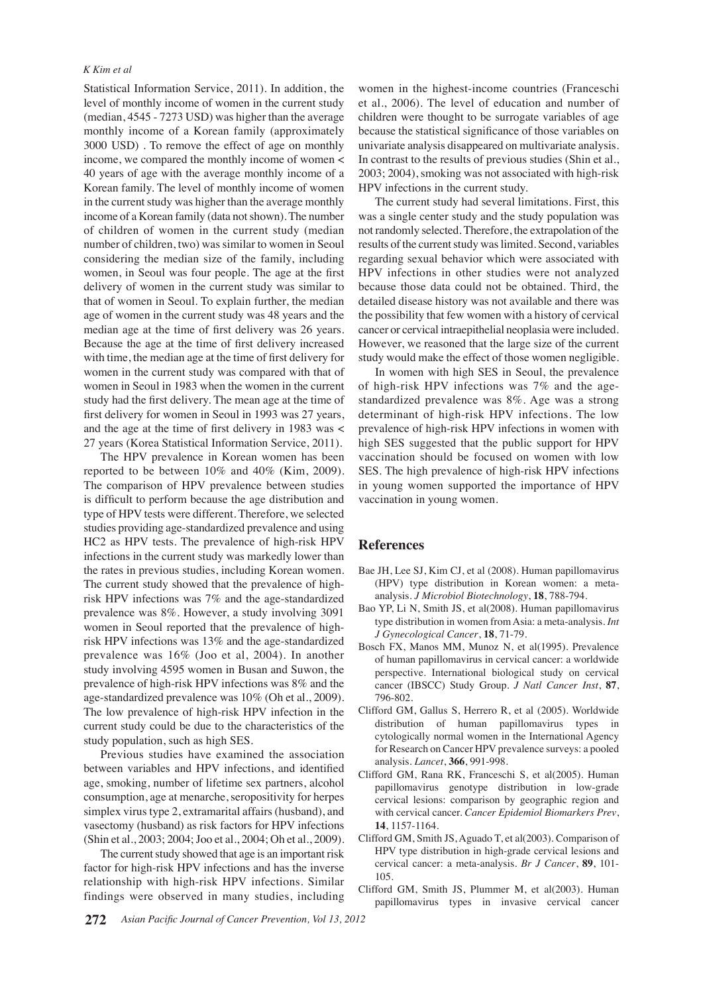#### *K Kim et al*

Statistical Information Service, 2011). In addition, the level of monthly income of women in the current study (median, 4545 - 7273 USD) was higher than the average monthly income of a Korean family (approximately 3000 USD) . To remove the effect of age on monthly income, we compared the monthly income of women < 40 years of age with the average monthly income of a Korean family. The level of monthly income of women in the current study was higher than the average monthly income of a Korean family (data not shown). The number of children of women in the current study (median number of children, two) was similar to women in Seoul considering the median size of the family, including women, in Seoul was four people. The age at the first delivery of women in the current study was similar to that of women in Seoul. To explain further, the median age of women in the current study was 48 years and the median age at the time of first delivery was 26 years. Because the age at the time of first delivery increased with time, the median age at the time of first delivery for women in the current study was compared with that of women in Seoul in 1983 when the women in the current study had the first delivery. The mean age at the time of first delivery for women in Seoul in 1993 was 27 years, and the age at the time of first delivery in 1983 was < 27 years (Korea Statistical Information Service, 2011).

The HPV prevalence in Korean women has been reported to be between 10% and 40% (Kim, 2009). The comparison of HPV prevalence between studies is difficult to perform because the age distribution and type of HPV tests were different. Therefore, we selected studies providing age-standardized prevalence and using HC2 as HPV tests. The prevalence of high-risk HPV infections in the current study was markedly lower than the rates in previous studies, including Korean women. The current study showed that the prevalence of highrisk HPV infections was 7% and the age-standardized prevalence was 8%. However, a study involving 3091 women in Seoul reported that the prevalence of highrisk HPV infections was 13% and the age-standardized prevalence was 16% (Joo et al, 2004). In another study involving 4595 women in Busan and Suwon, the prevalence of high-risk HPV infections was 8% and the age-standardized prevalence was 10% (Oh et al., 2009). The low prevalence of high-risk HPV infection in the current study could be due to the characteristics of the study population, such as high SES.

Previous studies have examined the association between variables and HPV infections, and identified age, smoking, number of lifetime sex partners, alcohol consumption, age at menarche, seropositivity for herpes simplex virus type 2, extramarital affairs (husband), and vasectomy (husband) as risk factors for HPV infections (Shin et al., 2003; 2004; Joo et al., 2004; Oh et al., 2009).

The current study showed that age is an important risk factor for high-risk HPV infections and has the inverse relationship with high-risk HPV infections. Similar findings were observed in many studies, including

women in the highest-income countries (Franceschi et al., 2006). The level of education and number of children were thought to be surrogate variables of age because the statistical significance of those variables on univariate analysis disappeared on multivariate analysis. In contrast to the results of previous studies (Shin et al., 2003; 2004), smoking was not associated with high-risk HPV infections in the current study.

The current study had several limitations. First, this was a single center study and the study population was not randomly selected. Therefore, the extrapolation of the results of the current study was limited. Second, variables regarding sexual behavior which were associated with HPV infections in other studies were not analyzed because those data could not be obtained. Third, the detailed disease history was not available and there was the possibility that few women with a history of cervical cancer or cervical intraepithelial neoplasia were included. However, we reasoned that the large size of the current study would make the effect of those women negligible.

In women with high SES in Seoul, the prevalence of high-risk HPV infections was 7% and the agestandardized prevalence was 8%. Age was a strong determinant of high-risk HPV infections. The low prevalence of high-risk HPV infections in women with high SES suggested that the public support for HPV vaccination should be focused on women with low SES. The high prevalence of high-risk HPV infections in young women supported the importance of HPV vaccination in young women.

#### **References**

- Bae JH, Lee SJ, Kim CJ, et al (2008). Human papillomavirus (HPV) type distribution in Korean women: a metaanalysis. *J Microbiol Biotechnology*, **18**, 788-794.
- Bao YP, Li N, Smith JS, et al(2008). Human papillomavirus type distribution in women from Asia: a meta-analysis. *Int J Gynecological Cancer*, **18**, 71-79.
- Bosch FX, Manos MM, Munoz N, et al(1995). Prevalence of human papillomavirus in cervical cancer: a worldwide perspective. International biological study on cervical cancer (IBSCC) Study Group. *J Natl Cancer Inst*, **87**, 796-802.
- Clifford GM, Gallus S, Herrero R, et al (2005). Worldwide distribution of human papillomavirus types in cytologically normal women in the International Agency for Research on Cancer HPV prevalence surveys: a pooled analysis. *Lancet*, **366**, 991-998.
- Clifford GM, Rana RK, Franceschi S, et al(2005). Human papillomavirus genotype distribution in low-grade cervical lesions: comparison by geographic region and with cervical cancer. *Cancer Epidemiol Biomarkers Prev*, **14**, 1157-1164.
- Clifford GM, Smith JS, Aguado T, et al(2003). Comparison of HPV type distribution in high-grade cervical lesions and cervical cancer: a meta-analysis. *Br J Cancer*, **89**, 101- 105.
- Clifford GM, Smith JS, Plummer M, et al(2003). Human papillomavirus types in invasive cervical cancer